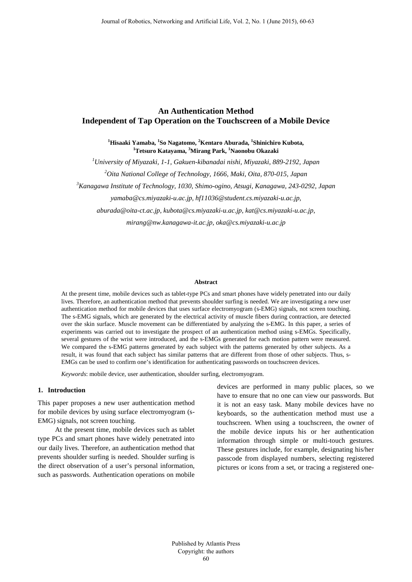# **An Authentication Method Independent of Tap Operation on the Touchscreen of a Mobile Device**

**1 Hisaaki Yamaba, <sup>1</sup> So Nagatomo, <sup>2</sup> Kentaro Aburada, <sup>1</sup> Shinichiro Kubota, 1 Tetsuro Katayama, <sup>3</sup> Mirang Park, <sup>1</sup> Naonobu Okazaki**

*1 University of Miyazaki, 1-1, Gakuen-kibanadai nishi, Miyazaki, 889-2192, Japan* 

*2 Oita National College of Technology, 1666, Maki, Oita, 870-015, Japan* 

*3 Kanagawa Institute of Technology, 1030, Shimo-ogino, Atsugi, Kanagawa, 243-0292, Japan* 

*yamaba@cs.miyazaki-u.ac.jp, hf11036@student.cs.miyazaki-u.ac.jp,* 

*aburada@oita-ct.ac.jp, kubota@cs.miyazaki-u.ac.jp, kat@cs.miyazaki-u.ac.jp,* 

*mirang@nw.kanagawa-it.ac.jp, oka@cs.miyazaki-u.ac.jp*

#### **Abstract**

At the present time, mobile devices such as tablet-type PCs and smart phones have widely penetrated into our daily lives. Therefore, an authentication method that prevents shoulder surfing is needed. We are investigating a new user authentication method for mobile devices that uses surface electromyogram (s-EMG) signals, not screen touching. The s-EMG signals, which are generated by the electrical activity of muscle fibers during contraction, are detected over the skin surface. Muscle movement can be differentiated by analyzing the s-EMG. In this paper, a series of experiments was carried out to investigate the prospect of an authentication method using s-EMGs. Specifically, several gestures of the wrist were introduced, and the s-EMGs generated for each motion pattern were measured. We compared the s-EMG patterns generated by each subject with the patterns generated by other subjects. As a result, it was found that each subject has similar patterns that are different from those of other subjects. Thus, s-EMGs can be used to confirm one's identification for authenticating passwords on touchscreen devices.

*Keywords*: mobile device, user authentication, shoulder surfing, electromyogram.

### **1. Introduction**

This paper proposes a new user authentication method for mobile devices by using surface electromyogram (s-EMG) signals, not screen touching.

At the present time, mobile devices such as tablet type PCs and smart phones have widely penetrated into our daily lives. Therefore, an authentication method that prevents shoulder surfing is needed. Shoulder surfing is the direct observation of a user's personal information, such as passwords. Authentication operations on mobile

devices are performed in many public places, so we have to ensure that no one can view our passwords. But it is not an easy task. Many mobile devices have no keyboards, so the authentication method must use a touchscreen. When using a touchscreen, the owner of the mobile device inputs his or her authentication information through simple or multi-touch gestures. These gestures include, for example, designating his/her passcode from displayed numbers, selecting registered pictures or icons from a set, or tracing a registered one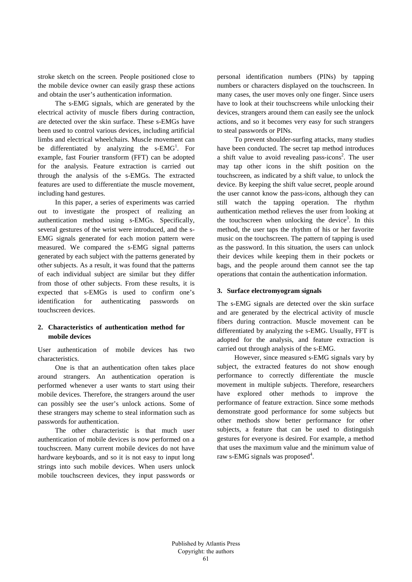stroke sketch on the screen. People positioned close to the mobile device owner can easily grasp these actions and obtain the user's authentication information.

The s-EMG signals, which are generated by the electrical activity of muscle fibers during contraction, are detected over the skin surface. These s-EMGs have been used to control various devices, including artificial limbs and electrical wheelchairs. Muscle movement can be differentiated by analyzing the  $s$ -EMG<sup>1</sup>. For example, fast Fourier transform (FFT) can be adopted for the analysis. Feature extraction is carried out through the analysis of the s-EMGs. The extracted features are used to differentiate the muscle movement, including hand gestures.

In this paper, a series of experiments was carried out to investigate the prospect of realizing an authentication method using s-EMGs. Specifically, several gestures of the wrist were introduced, and the s-EMG signals generated for each motion pattern were measured. We compared the s-EMG signal patterns generated by each subject with the patterns generated by other subjects. As a result, it was found that the patterns of each individual subject are similar but they differ from those of other subjects. From these results, it is expected that s-EMGs is used to confirm one's identification for authenticating passwords on touchscreen devices.

# **2. Characteristics of authentication method for mobile devices**

User authentication of mobile devices has two characteristics.

One is that an authentication often takes place around strangers. An authentication operation is performed whenever a user wants to start using their mobile devices. Therefore, the strangers around the user can possibly see the user's unlock actions. Some of these strangers may scheme to steal information such as passwords for authentication.

The other characteristic is that much user authentication of mobile devices is now performed on a touchscreen. Many current mobile devices do not have hardware keyboards, and so it is not easy to input long strings into such mobile devices. When users unlock mobile touchscreen devices, they input passwords or personal identification numbers (PINs) by tapping numbers or characters displayed on the touchscreen. In many cases, the user moves only one finger. Since users have to look at their touchscreens while unlocking their devices, strangers around them can easily see the unlock actions, and so it becomes very easy for such strangers to steal passwords or PINs.

To prevent shoulder-surfing attacks, many studies have been conducted. The secret tap method introduces a shift value to avoid revealing pass-icons<sup>2</sup>. The user may tap other icons in the shift position on the touchscreen, as indicated by a shift value, to unlock the device. By keeping the shift value secret, people around the user cannot know the pass-icons, although they can still watch the tapping operation. The rhythm authentication method relieves the user from looking at the touchscreen when unlocking the device<sup>3</sup>. In this method, the user taps the rhythm of his or her favorite music on the touchscreen. The pattern of tapping is used as the password. In this situation, the users can unlock their devices while keeping them in their pockets or bags, and the people around them cannot see the tap operations that contain the authentication information.

# **3. Surface electromyogram signals**

The s-EMG signals are detected over the skin surface and are generated by the electrical activity of muscle fibers during contraction. Muscle movement can be differentiated by analyzing the s-EMG. Usually, FFT is adopted for the analysis, and feature extraction is carried out through analysis of the s-EMG.

However, since measured s-EMG signals vary by subject, the extracted features do not show enough performance to correctly differentiate the muscle movement in multiple subjects. Therefore, researchers have explored other methods to improve the performance of feature extraction. Since some methods demonstrate good performance for some subjects but other methods show better performance for other subjects, a feature that can be used to distinguish gestures for everyone is desired. For example, a method that uses the maximum value and the minimum value of raw s-EMG signals was proposed<sup>4</sup>.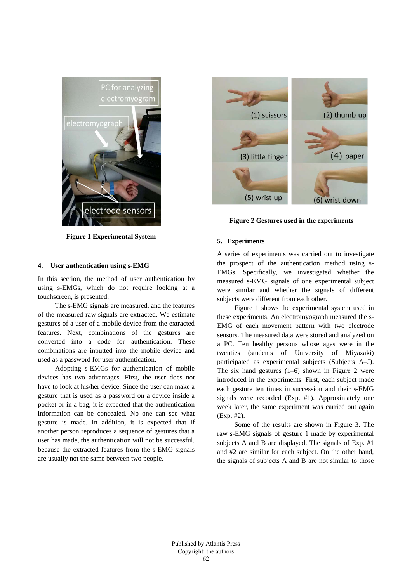

**Figure 1 Experimental System**

# **4. User authentication using s-EMG**

In this section, the method of user authentication by using s-EMGs, which do not require looking at a touchscreen, is presented.

The s-EMG signals are measured, and the features of the measured raw signals are extracted. We estimate gestures of a user of a mobile device from the extracted features. Next, combinations of the gestures are converted into a code for authentication. These combinations are inputted into the mobile device and used as a password for user authentication.

Adopting s-EMGs for authentication of mobile devices has two advantages. First, the user does not have to look at his/her device. Since the user can make a gesture that is used as a password on a device inside a pocket or in a bag, it is expected that the authentication information can be concealed. No one can see what gesture is made. In addition, it is expected that if another person reproduces a sequence of gestures that a user has made, the authentication will not be successful, because the extracted features from the s-EMG signals are usually not the same between two people.



**Figure 2 Gestures used in the experiments**

#### **5. Experiments**

A series of experiments was carried out to investigate the prospect of the authentication method using s-EMGs. Specifically, we investigated whether the measured s-EMG signals of one experimental subject were similar and whether the signals of different subjects were different from each other.

Figure 1 shows the experimental system used in these experiments. An electromyograph measured the s-EMG of each movement pattern with two electrode sensors. The measured data were stored and analyzed on a PC. Ten healthy persons whose ages were in the twenties (students of University of Miyazaki) participated as experimental subjects (Subjects A–J). The six hand gestures (1–6) shown in Figure 2 were introduced in the experiments. First, each subject made each gesture ten times in succession and their s-EMG signals were recorded (Exp. #1). Approximately one week later, the same experiment was carried out again (Exp. #2).

Some of the results are shown in Figure 3. The raw s-EMG signals of gesture 1 made by experimental subjects A and B are displayed. The signals of Exp. #1 and #2 are similar for each subject. On the other hand, the signals of subjects A and B are not similar to those